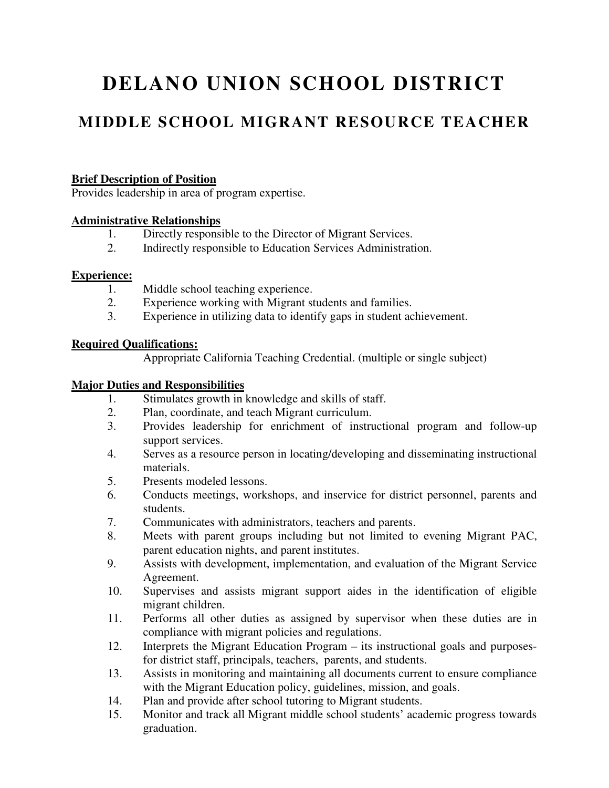# **DELANO UNION SCHOOL DISTRICT**

### **MIDDLE SCHOOL MIGRANT RESOURCE TEACHER**

#### **Brief Description of Position**

Provides leadership in area of program expertise.

#### **Administrative Relationships**

- 1. Directly responsible to the Director of Migrant Services.<br>2. Indirectly responsible to Education Services Administration
- 2. Indirectly responsible to Education Services Administration.

#### **Experience:**

- 1. Middle school teaching experience.
- 2. Experience working with Migrant students and families.
- 3. Experience in utilizing data to identify gaps in student achievement.

#### **Required Qualifications:**

Appropriate California Teaching Credential. (multiple or single subject)

#### **Major Duties and Responsibilities**

- 1. Stimulates growth in knowledge and skills of staff.
- 2. Plan, coordinate, and teach Migrant curriculum.
- 3. Provides leadership for enrichment of instructional program and follow-up support services.
- 4. Serves as a resource person in locating/developing and disseminating instructional materials.
- 5. Presents modeled lessons.
- 6. Conducts meetings, workshops, and inservice for district personnel, parents and students.
- 7. Communicates with administrators, teachers and parents.
- 8. Meets with parent groups including but not limited to evening Migrant PAC, parent education nights, and parent institutes.
- 9. Assists with development, implementation, and evaluation of the Migrant Service Agreement.
- 10. Supervises and assists migrant support aides in the identification of eligible migrant children.
- 11. Performs all other duties as assigned by supervisor when these duties are in compliance with migrant policies and regulations.
- 12. Interprets the Migrant Education Program its instructional goals and purposesfor district staff, principals, teachers, parents, and students.
- 13. Assists in monitoring and maintaining all documents current to ensure compliance with the Migrant Education policy, guidelines, mission, and goals.
- 14. Plan and provide after school tutoring to Migrant students.
- 15. Monitor and track all Migrant middle school students' academic progress towards graduation.